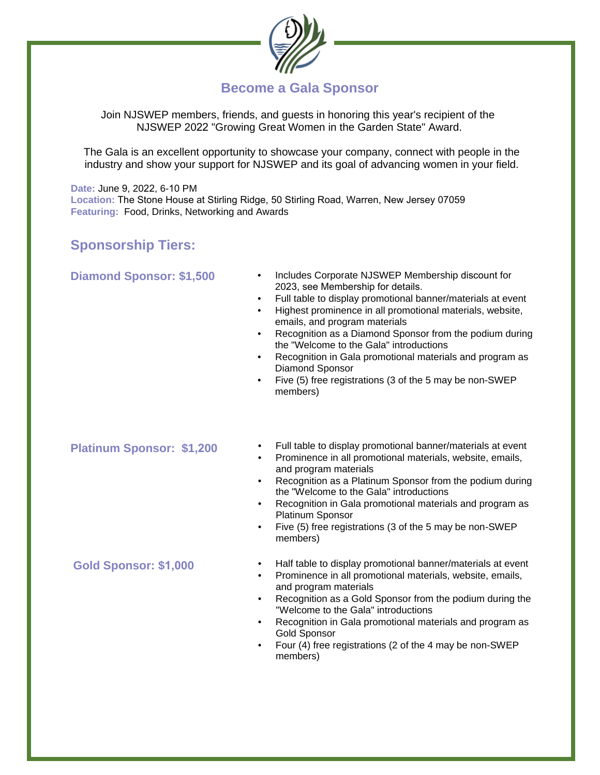

# **Become a Gala Sponsor**

Join NJSWEP members, friends, and guests in honoring this year's recipient of the NJSWEP 2022 "Growing Great Women in the Garden State" Award.

The Gala is an excellent opportunity to showcase your company, connect with people in the industry and show your support for NJSWEP and its goal of advancing women in your field.

**Date:** June 9, 2022, 6-10 PM **Location:** The Stone House at Stirling Ridge, 50 Stirling Road, Warren, New Jersey 07059 **Featuring:** Food, Drinks, Networking and Awards

## **Sponsorship Tiers:**

#### **Diamond Sponsor: \$1,500**

- Includes Corporate NJSWEP Membership discount for 2023, see Membership for details.
- Full table to display promotional banner/materials at event
- Highest prominence in all promotional materials, website, emails, and program materials
- Recognition as a Diamond Sponsor from the podium during the "Welcome to the Gala" introductions
- Recognition in Gala promotional materials and program as Diamond Sponsor
- Five (5) free registrations (3 of the 5 may be non-SWEP members)

#### **Platinum Sponsor: \$1,200**

- Full table to display promotional banner/materials at event
- Prominence in all promotional materials, website, emails, and program materials
- Recognition as a Platinum Sponsor from the podium during the "Welcome to the Gala" introductions
- Recognition in Gala promotional materials and program as Platinum Sponsor
- Five (5) free registrations (3 of the 5 may be non-SWEP members)
- Half table to display promotional banner/materials at event
- Prominence in all promotional materials, website, emails, and program materials
- Recognition as a Gold Sponsor from the podium during the "Welcome to the Gala" introductions
- Recognition in Gala promotional materials and program as Gold Sponsor
- Four (4) free registrations (2 of the 4 may be non-SWEP members)

### **Gold Sponsor: \$1,000**